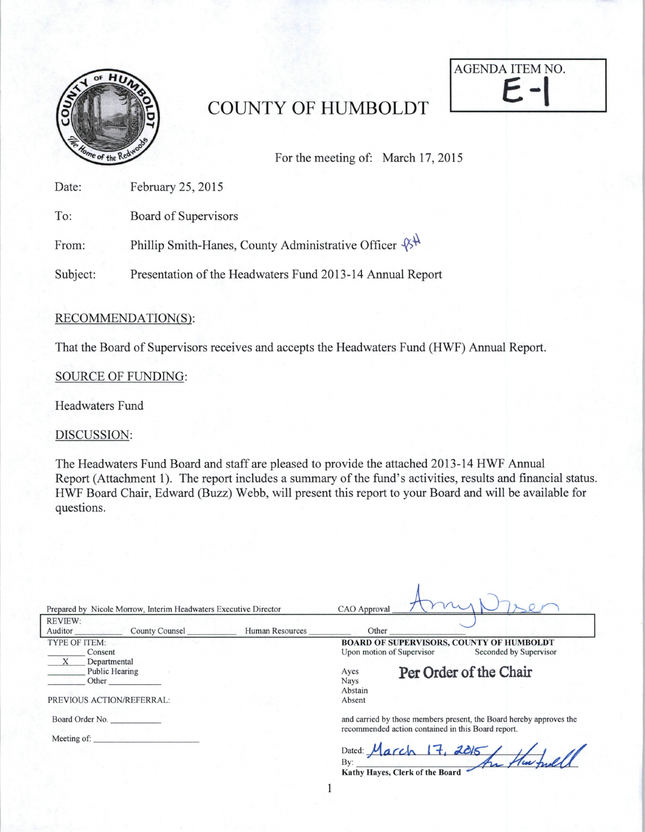

# COUNTY OF HUMBOLDT



For the meeting of: March 17, 2015

Date: February 25, 2015

To: Board of Supervisors

From: Phillip Smith-Hanes, County Administrative Officer  $\mathcal{B}^{\mathcal{H}}$ 

Subject: Presentation of the Headwaters Fund 2013-14 Annual Report

## RECOMMENDATION(S):

That the Board of Supervisors receives and accepts the Headwaters Fund (HWF) Annual Report.

## SOURCE OF FUNDING:

Headwaters Fund

DISCUSSION:

The Headwaters Fund Board and staff are pleased to provide the attached 2013-14 HWF Annual Report (Attachment 1). The report includes a summary of the fund's activities, results and financial status. HWF Board Chair, Edward (Buzz) Webb, will present this report to your Board and will be available for questions.

| Prepared by Nicole Morrow, Interim Headwaters Executive Director |                 | CAO Approval                                                                                                              |
|------------------------------------------------------------------|-----------------|---------------------------------------------------------------------------------------------------------------------------|
| <b>REVIEW:</b><br><b>County Counsel</b><br>Auditor               | Human Resources | Other                                                                                                                     |
| TYPE OF ITEM:<br>Consent<br>Departmental                         |                 | <b>BOARD OF SUPERVISORS, COUNTY OF HUMBOLDT</b><br>Seconded by Supervisor<br>Upon motion of Supervisor                    |
| <b>Public Hearing</b><br>Other                                   |                 | Per Order of the Chair<br>Ayes<br><b>Nays</b><br>Abstain                                                                  |
| PREVIOUS ACTION/REFERRAL:                                        |                 | Absent                                                                                                                    |
| Board Order No.                                                  |                 | and carried by those members present, the Board hereby approves the<br>recommended action contained in this Board report. |
| Meeting of:                                                      |                 | Dated: $March 17, 2015$<br>By:<br>Kathy Hayes, Clerk of the Board                                                         |
|                                                                  |                 |                                                                                                                           |